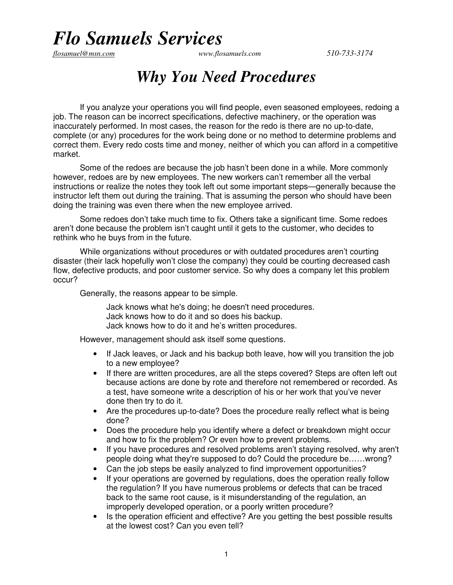## *Flo Samuels Services*

*flosamuel@msn.com www.flosamuels.com 510-733-3174* 

## *Why You Need Procedures*

If you analyze your operations you will find people, even seasoned employees, redoing a job. The reason can be incorrect specifications, defective machinery, or the operation was inaccurately performed. In most cases, the reason for the redo is there are no up-to-date, complete (or any) procedures for the work being done or no method to determine problems and correct them. Every redo costs time and money, neither of which you can afford in a competitive market.

Some of the redoes are because the job hasn't been done in a while. More commonly however, redoes are by new employees. The new workers can't remember all the verbal instructions or realize the notes they took left out some important steps—generally because the instructor left them out during the training. That is assuming the person who should have been doing the training was even there when the new employee arrived.

Some redoes don't take much time to fix. Others take a significant time. Some redoes aren't done because the problem isn't caught until it gets to the customer, who decides to rethink who he buys from in the future.

While organizations without procedures or with outdated procedures aren't courting disaster (their lack hopefully won't close the company) they could be courting decreased cash flow, defective products, and poor customer service. So why does a company let this problem occur?

Generally, the reasons appear to be simple.

Jack knows what he's doing; he doesn't need procedures. Jack knows how to do it and so does his backup. Jack knows how to do it and he's written procedures.

However, management should ask itself some questions.

- If Jack leaves, or Jack and his backup both leave, how will you transition the job to a new employee?
- If there are written procedures, are all the steps covered? Steps are often left out because actions are done by rote and therefore not remembered or recorded. As a test, have someone write a description of his or her work that you've never done then try to do it.
- Are the procedures up-to-date? Does the procedure really reflect what is being done?
- Does the procedure help you identify where a defect or breakdown might occur and how to fix the problem? Or even how to prevent problems.
- If you have procedures and resolved problems aren't staying resolved, why aren't people doing what they're supposed to do? Could the procedure be……wrong?
- Can the job steps be easily analyzed to find improvement opportunities?
- If your operations are governed by regulations, does the operation really follow the regulation? If you have numerous problems or defects that can be traced back to the same root cause, is it misunderstanding of the regulation, an improperly developed operation, or a poorly written procedure?
- Is the operation efficient and effective? Are you getting the best possible results at the lowest cost? Can you even tell?